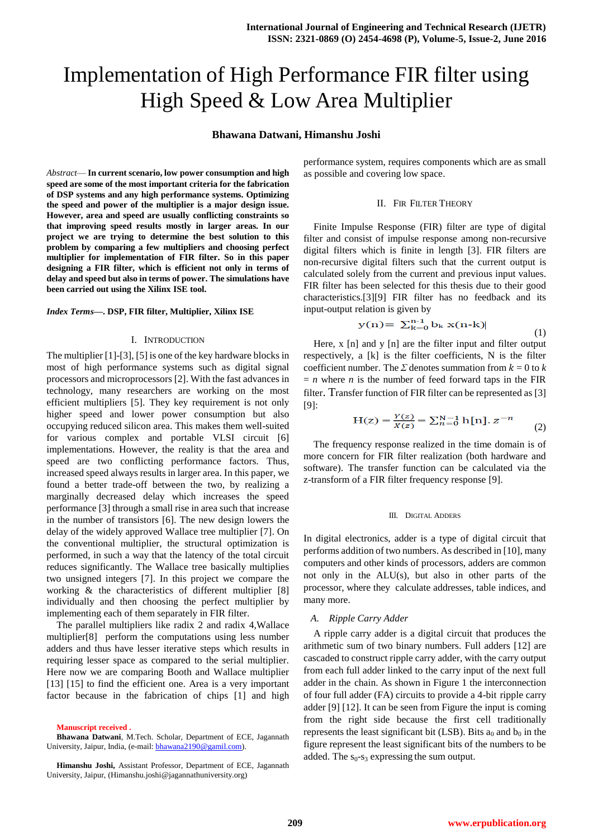# Implementation of High Performance FIR filter using High Speed & Low Area Multiplier

# **Bhawana Datwani, Himanshu Joshi**

*Abstract*— **In current scenario, low power consumption and high speed are some of the most important criteria for the fabrication of DSP systems and any high performance systems. Optimizing the speed and power of the multiplier is a major design issue. However, area and speed are usually conflicting constraints so that improving speed results mostly in larger areas. In our project we are trying to determine the best solution to this problem by comparing a few multipliers and choosing perfect multiplier for implementation of FIR filter. So in this paper designing a FIR filter, which is efficient not only in terms of delay and speed but also in terms of power. The simulations have been carried out using the Xilinx ISE tool.**

#### *Index Terms***—. DSP, FIR filter, Multiplier, Xilinx ISE**

#### I. INTRODUCTION

The multiplier [1]-[3], [5] is one of the key hardware blocks in most of high performance systems such as digital signal processors and microprocessors [2]. With the fast advances in technology, many researchers are working on the most efficient multipliers [5]. They key requirement is not only higher speed and lower power consumption but also occupying reduced silicon area. This makes them well-suited for various complex and portable VLSI circuit [6] implementations. However, the reality is that the area and speed are two conflicting performance factors. Thus, increased speed always results in larger area. In this paper, we found a better trade-off between the two, by realizing a marginally decreased delay which increases the speed performance [3] through a small rise in area such that increase in the number of transistors [6]. The new design lowers the delay of the widely approved Wallace tree multiplier [7]. On the conventional multiplier, the structural optimization is performed, in such a way that the latency of the total circuit reduces significantly. The Wallace tree basically multiplies two unsigned integers [7]. In this project we compare the working & the characteristics of different multiplier [8] individually and then choosing the perfect multiplier by implementing each of them separately in FIR filter.

The parallel multipliers like radix 2 and radix 4,Wallace multiplier[8] perform the computations using less number adders and thus have lesser iterative steps which results in requiring lesser space as compared to the serial multiplier. Here now we are comparing Booth and Wallace multiplier [13] [15] to find the efficient one. Area is a very important factor because in the fabrication of chips [1] and high

**Manuscript received .**

**Bhawana Datwani**, M.Tech. Scholar, Department of ECE, Jagannath University, Jaipur, India, (e-mail[: bhawana2190@gamil.com\)](mailto:bhawana2190@gamil.com).

**Himanshu Joshi,** Assistant Professor, Department of ECE, Jagannath University, Jaipur, (Himanshu.joshi@jagannathuniversity.org)

performance system, requires components which are as small as possible and covering low space.

#### II. FIR FILTER THEORY

Finite Impulse Response (FIR) filter are type of digital filter and consist of impulse response among non-recursive digital filters which is finite in length [3]. FIR filters are non-recursive digital filters such that the current output is calculated solely from the current and previous input values. FIR filter has been selected for this thesis due to their good characteristics.[3][9] FIR filter has no feedback and its input-output relation is given by

$$
y(n) = \sum_{k=0}^{n-1} b_k x(n-k)
$$
 (1)

Here, x [n] and y [n] are the filter input and filter output respectively, a [k] is the filter coefficients, N is the filter coefficient number. The  $\Sigma$  denotes summation from  $k = 0$  to  $k$  $= n$  where *n* is the number of feed forward taps in the FIR filter. Transfer function of FIR filter can be represented as [3] [9]:

$$
H(z) = \frac{Y(z)}{X(z)} = \sum_{n=0}^{N-1} h[n]. z^{-n}
$$
 (2)

The frequency response realized in the time domain is of more concern for FIR filter realization (both hardware and software). The transfer function can be calculated via the z-transform of a FIR filter frequency response [9].

#### III. DIGITAL ADDERS

In digital electronics, adder is a type of digital circuit that performs addition of two numbers. As described in [10], many computers and other kinds of processors, adders are common not only in the ALU(s), but also in other parts of the processor, where they calculate addresses, table indices, and many more.

### *A. Ripple Carry Adder*

A ripple carry adder is a digital circuit that produces the arithmetic sum of two binary numbers. Full adders [12] are cascaded to construct ripple carry adder, with the carry output from each full adder linked to the carry input of the next full adder in the chain. As shown in Figure 1 the interconnection of four full adder (FA) circuits to provide a 4-bit ripple carry adder [9] [12]. It can be seen from Figure the input is coming from the right side because the first cell traditionally represents the least significant bit (LSB). Bits  $a_0$  and  $b_0$  in the figure represent the least significant bits of the numbers to be added. The  $s_0$ - $s_3$  expressing the sum output.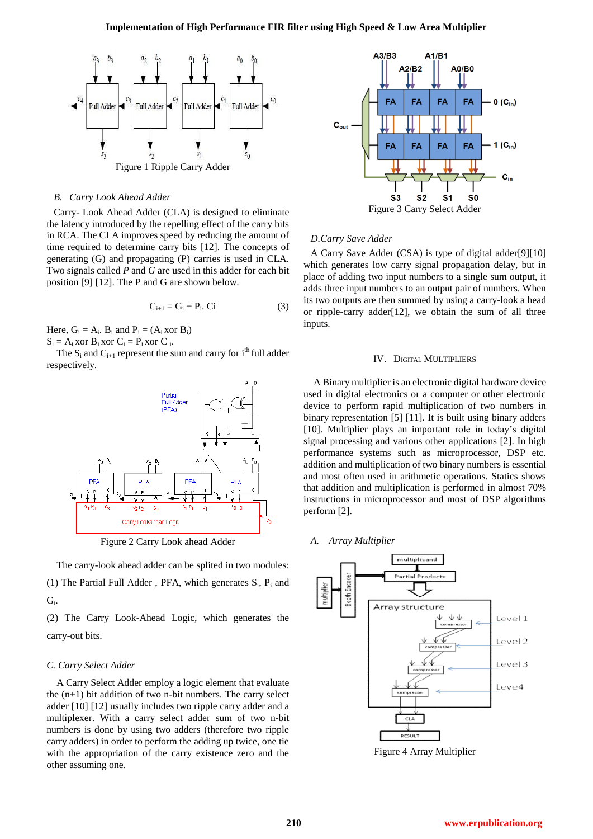

#### *B. Carry Look Ahead Adder*

Carry- Look Ahead Adder (CLA) is designed to eliminate the latency introduced by the repelling effect of the carry bits in RCA. The CLA improves speed by reducing the amount of time required to determine carry bits [12]. The concepts of generating (G) and propagating (P) carries is used in CLA. Two signals called *P* and *G* are used in this adder for each bit position [9] [12]. The P and G are shown below.

$$
\mathbf{C}_{i+1} = \mathbf{G}_i + \mathbf{P}_i. \ \mathbf{C} \mathbf{i} \tag{3}
$$

Here,  $G_i = A_i$ .  $B_i$  and  $P_i = (A_i \text{ xor } B_i)$ 

 $S_i = A_i$  xor  $B_i$  xor  $C_i = P_i$  xor  $C_i$ .

The  $S_i$  and  $C_{i+1}$  represent the sum and carry for  $i<sup>th</sup>$  full adder respectively.



Figure 2 Carry Look ahead Adder

The carry-look ahead adder can be splited in two modules:

(1) The Partial Full Adder, PFA, which generates  $S_i$ ,  $P_i$  and  $G_i$ .

(2) The Carry Look-Ahead Logic, which generates the carry-out bits.

#### *C. Carry Select Adder*

A Carry Select Adder employ a logic element that evaluate the  $(n+1)$  bit addition of two n-bit numbers. The carry select adder [10] [12] usually includes two ripple carry adder and a multiplexer. With a carry select adder sum of two n-bit numbers is done by using two adders (therefore two ripple carry adders) in order to perform the adding up twice, one tie with the appropriation of the carry existence zero and the other assuming one.



#### *D.Carry Save Adder*

A Carry Save Adder (CSA) is type of digital adder[9][10] which generates low carry signal propagation delay, but in place of adding two input numbers to a single sum output, it adds three input numbers to an output pair of numbers. When its two outputs are then summed by using a carry-look a head or ripple-carry adder[12], we obtain the sum of all three inputs.

#### IV. DIGITAL MULTIPLIERS

A Binary multiplier is an electronic digital hardware device used in digital electronics or a computer or other electronic device to perform rapid multiplication of two numbers in binary representation [5] [11]. It is built using binary adders [10]. Multiplier plays an important role in today's digital signal processing and various other applications [2]. In high performance systems such as microprocessor, DSP etc. addition and multiplication of two binary numbers is essential and most often used in arithmetic operations. Statics shows that addition and multiplication is performed in almost 70% instructions in microprocessor and most of DSP algorithms perform [2].

*A. Array Multiplier*



Figure 4 Array Multiplier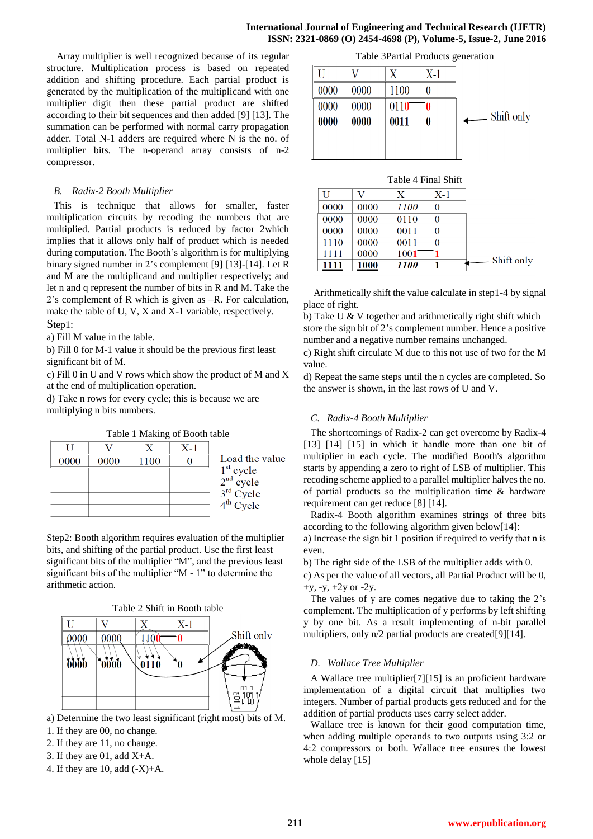Array multiplier is well recognized because of its regular structure. Multiplication process is based on repeated addition and shifting procedure. Each partial product is generated by the multiplication of the multiplicand with one multiplier digit then these partial product are shifted according to their bit sequences and then added [9] [13]. The summation can be performed with normal carry propagation adder. Total N-1 adders are required where N is the no. of multiplier bits. The n-operand array consists of n-2 compressor.

# *B. Radix-2 Booth Multiplier*

This is technique that allows for smaller, faster multiplication circuits by recoding the numbers that are multiplied. Partial products is reduced by factor 2which implies that it allows only half of product which is needed during computation. The Booth's algorithm is for multiplying binary signed number in 2's complement [9] [13]-[14]. Let R and M are the multiplicand and multiplier respectively; and let n and q represent the number of bits in R and M. Take the 2's complement of R which is given as –R. For calculation, make the table of U, V, X and X-1 variable, respectively. Step1:

a) Fill M value in the table.

b) Fill 0 for M-1 value it should be the previous first least significant bit of M.

c) Fill 0 in U and V rows which show the product of M and X at the end of multiplication operation.

d) Take n rows for every cycle; this is because we are multiplying n bits numbers.

Table 1 Making of Booth table

|      |      |      | $X-1$ |                                                          |
|------|------|------|-------|----------------------------------------------------------|
| 0000 | 0000 | 1100 |       | Load the value                                           |
|      |      |      |       | $1st cycle$<br>$2nd cycle$<br>$3rd Cycle$<br>$4th Cycle$ |
|      |      |      |       |                                                          |
|      |      |      |       |                                                          |
|      |      |      |       |                                                          |

Step2: Booth algorithm requires evaluation of the multiplier bits, and shifting of the partial product. Use the first least significant bits of the multiplier "M", and the previous least significant bits of the multiplier "M - 1" to determine the arithmetic action.

Table 2 Shift in Booth table



a) Determine the two least significant (right most) bits of M.

- 1. If they are 00, no change.
- 2. If they are 11, no change.
- 3. If they are 01, add X+A.
- 4. If they are 10, add  $(-X)+A$ .

Table 3Partial Products generation

|      |      |      | X-1 |                                        |
|------|------|------|-----|----------------------------------------|
| 0000 | 0000 | 1100 |     |                                        |
| 0000 | 0000 | 0110 | 0   |                                        |
| 0000 | 0000 | 0011 | 0   | Shift only<br>$\overline{\phantom{0}}$ |
|      |      |      |     |                                        |
|      |      |      |     |                                        |

| Table 4 Final Shift |      |             |       |            |  |  |  |  |
|---------------------|------|-------------|-------|------------|--|--|--|--|
| ΓJ                  | V    | X           | $X-1$ |            |  |  |  |  |
| 0000                | 0000 | 1100        | 0     |            |  |  |  |  |
| 0000                | 0000 | 0110        | 0     |            |  |  |  |  |
| 0000                | 0000 | 0011        | 0     |            |  |  |  |  |
| 1110                | 0000 | 0011        | 0     |            |  |  |  |  |
| 1111                | 0000 | 1001        |       |            |  |  |  |  |
| 1111                | 1000 | <i>1100</i> |       | Shift only |  |  |  |  |

Arithmetically shift the value calculate in step1-4 by signal place of right.

b) Take U & V together and arithmetically right shift which store the sign bit of 2's complement number. Hence a positive number and a negative number remains unchanged.

c) Right shift circulate M due to this not use of two for the M value.

d) Repeat the same steps until the n cycles are completed. So the answer is shown, in the last rows of U and V.

# *C. Radix-4 Booth Multiplier*

The shortcomings of Radix-2 can get overcome by Radix-4 [13] [14] [15] in which it handle more than one bit of multiplier in each cycle. The modified Booth's algorithm starts by appending a zero to right of LSB of multiplier. This recoding scheme applied to a parallel multiplier halves the no. of partial products so the multiplication time & hardware requirement can get reduce [8] [14].

Radix-4 Booth algorithm examines strings of three bits according to the following algorithm given below[14]:

a) Increase the sign bit 1 position if required to verify that n is even.

b) The right side of the LSB of the multiplier adds with 0.

c) As per the value of all vectors, all Partial Product will be 0,  $+v, -v, +2v$  or  $-2v$ .

The values of y are comes negative due to taking the 2's complement. The multiplication of y performs by left shifting y by one bit. As a result implementing of n-bit parallel multipliers, only n/2 partial products are created[9][14].

#### *D. Wallace Tree Multiplier*

A Wallace tree multiplier[7][15] is an proficient hardware implementation of a digital circuit that multiplies two integers. Number of partial products gets reduced and for the addition of partial products uses carry select adder.

Wallace tree is known for their good computation time, when adding multiple operands to two outputs using 3:2 or 4:2 compressors or both. Wallace tree ensures the lowest whole delay [15]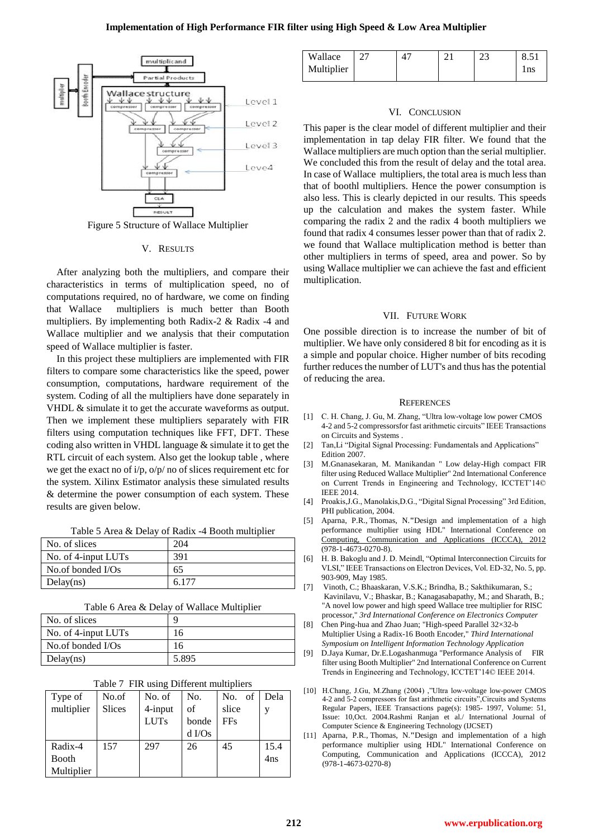

Figure 5 Structure of Wallace Multiplier

#### V. RESULTS

After analyzing both the multipliers, and compare their characteristics in terms of multiplication speed, no of computations required, no of hardware, we come on finding that Wallace multipliers is much better than Booth multipliers. By implementing both Radix-2 & Radix -4 and Wallace multiplier and we analysis that their computation speed of Wallace multiplier is faster.

In this project these multipliers are implemented with FIR filters to compare some characteristics like the speed, power consumption, computations, hardware requirement of the system. Coding of all the multipliers have done separately in VHDL & simulate it to get the accurate waveforms as output. Then we implement these multipliers separately with FIR filters using computation techniques like FFT, DFT. These coding also written in VHDL language & simulate it to get the RTL circuit of each system. Also get the lookup table , where we get the exact no of  $i/p$ ,  $o/p/n$  no of slices requirement etc for the system. Xilinx Estimator analysis these simulated results & determine the power consumption of each system. These results are given below.

Table 5 Area & Delay of Radix -4 Booth multiplier

| No. of slices       | 204   |
|---------------------|-------|
| No. of 4-input LUTs | 391   |
| No.of bonded $I/Os$ | 65    |
| Delay(ns)           | 6.177 |

Table 6 Area & Delay of Wallace Multiplier

| No. of slices       |       |
|---------------------|-------|
| No. of 4-input LUTs | ۱6    |
| No.of bonded $I/Os$ | 16    |
| Delay(ns)           | 5.895 |

| Table 7 FIR using Different multipliers |  |  |  |  |  |
|-----------------------------------------|--|--|--|--|--|
|-----------------------------------------|--|--|--|--|--|

| Type of    | No.of         | No. of      | No.      | No. of     | Dela |
|------------|---------------|-------------|----------|------------|------|
| multiplier | <b>Slices</b> | 4-input     | of       | slice      |      |
|            |               | <b>LUTs</b> | bonde    | <b>FFs</b> |      |
|            |               |             | $d$ I/Os |            |      |
| Radix-4    | 157           | 297         | 26       | 45         | 15.4 |
| Booth      |               |             |          |            | 4ns  |
| Multiplier |               |             |          |            |      |

| Wallace    |  | $\cap$<br>ن | 8.51 |
|------------|--|-------------|------|
| Multiplier |  |             | l ns |

#### VI. CONCLUSION

This paper is the clear model of different multiplier and their implementation in tap delay FIR filter. We found that the Wallace multipliers are much option than the serial multiplier. We concluded this from the result of delay and the total area. In case of Wallace multipliers, the total area is much less than that of boothl multipliers. Hence the power consumption is also less. This is clearly depicted in our results. This speeds up the calculation and makes the system faster. While comparing the radix 2 and the radix 4 booth multipliers we found that radix 4 consumes lesser power than that of radix 2. we found that Wallace multiplication method is better than other multipliers in terms of speed, area and power. So by using Wallace multiplier we can achieve the fast and efficient multiplication.

#### VII. FUTURE WORK

One possible direction is to increase the number of bit of multiplier. We have only considered 8 bit for encoding as it is a simple and popular choice. Higher number of bits recoding further reduces the number of LUT's and thus has the potential of reducing the area.

#### **REFERENCES**

- [1] C. H. Chang, J. Gu, M. Zhang, "Ultra low-voltage low power CMOS 4-2 and 5-2 compressorsfor fast arithmetic circuits" IEEE Transactions on Circuits and Systems .
- [2] Tan,Li "Digital Signal Processing: Fundamentals and Applications" Edition 2007.
- [3] M.Gnanasekaran, M. Manikandan " Low delay-High compact FIR filter using Reduced Wallace Multiplier" 2nd International Conference on Current Trends in Engineering and Technology, ICCTET'14© IEEE 2014.
- [4] Proakis,J.G., Manolakis,D.G., "Digital Signal Processing" 3rd Edition, PHI publication, 2004.
- [5] [Aparna, P.R.,](http://ieeexplore.ieee.org/search/searchresult.jsp?searchWithin=%22Authors%22:.QT.Aparna,%20P.R..QT.&newsearch=true) [Thomas, N.](http://ieeexplore.ieee.org/search/searchresult.jsp?searchWithin=%22Authors%22:.QT.Thomas,%20N..QT.&newsearch=true)**"**Design and implementation of a high performance multiplier using HDL" International Conference on [Computing, Communication and Applications \(ICCCA\), 2012](http://ieeexplore.ieee.org/xpl/mostRecentIssue.jsp?punumber=6175416)  (978-1-4673-0270-8).
- [6] H. B. Bakoglu and J. D. Meindl, "Optimal Interconnection Circuits for VLSI," IEEE Transactions on Electron Devices, Vol. ED-32, No. 5, pp. 903-909, May 1985.
- [7] Vinoth, C.; Bhaaskaran, V.S.K.; Brindha, B.; Sakthikumaran, S.; Kavinilavu, V.; Bhaskar, B.; Kanagasabapathy, M.; and Sharath, B.; "A novel low power and high speed Wallace tree multiplier for RISC processor," *3rd International Conference on Electronics Computer*
- [8] Chen Ping-hua and Zhao Juan; "High-speed Parallel 32×32-b Multiplier Using a Radix-16 Booth Encoder," *Third International Symposium on Intelligent Information Technology Application*
- [9] D.Jaya Kumar, Dr.E.Logashanmuga "Performance Analysis of FIR filter using Booth Multiplier" 2nd International Conference on Current Trends in Engineering and Technology, ICCTET'14© IEEE 2014.
- [10] H.Chang, J.Gu, M.Zhang (2004) ,"Ultra low-voltage low-power CMOS 4-2 and 5-2 compressors for fast arithmetic circuits",Circuits and Systems Regular Papers, IEEE Transactions page(s): 1985- 1997, Volume: 51, Issue: 10,Oct. 2004.Rashmi Ranjan et al./ International Journal of Computer Science & Engineering Technology (IJCSET)
- [11] [Aparna, P.R.,](http://ieeexplore.ieee.org/search/searchresult.jsp?searchWithin=%22Authors%22:.QT.Aparna,%20P.R..QT.&newsearch=true) [Thomas, N.](http://ieeexplore.ieee.org/search/searchresult.jsp?searchWithin=%22Authors%22:.QT.Thomas,%20N..QT.&newsearch=true)**"**Design and implementation of a high performance multiplier using HDL" International Conference on [Computing, Communication and Applications \(ICCCA\), 2012](http://ieeexplore.ieee.org/xpl/mostRecentIssue.jsp?punumber=6175416) (978-1-4673-0270-8)